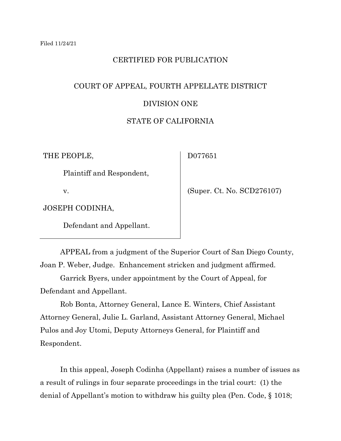# CERTIFIED FOR PUBLICATION

# COURT OF APPEAL, FOURTH APPELLATE DISTRICT DIVISION ONE

# STATE OF CALIFORNIA

THE PEOPLE,

D077651

Plaintiff and Respondent,

v.

(Super. Ct. No. SCD276107)

JOSEPH CODINHA,

Defendant and Appellant.

APPEAL from a judgment of the Superior Court of San Diego County, Joan P. Weber, Judge. Enhancement stricken and judgment affirmed.

Garrick Byers, under appointment by the Court of Appeal, for Defendant and Appellant.

Rob Bonta, Attorney General, Lance E. Winters, Chief Assistant Attorney General, Julie L. Garland, Assistant Attorney General, Michael Pulos and Joy Utomi, Deputy Attorneys General, for Plaintiff and Respondent.

In this appeal, Joseph Codinha (Appellant) raises a number of issues as a result of rulings in four separate proceedings in the trial court: (1) the denial of Appellant's motion to withdraw his guilty plea (Pen. Code, § 1018;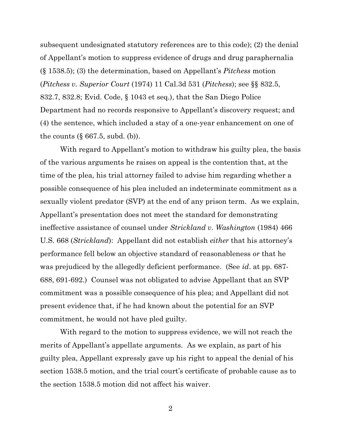subsequent undesignated statutory references are to this code); (2) the denial of Appellant's motion to suppress evidence of drugs and drug paraphernalia (§ 1538.5); (3) the determination, based on Appellant's *Pitchess* motion (*Pitchess v. Superior Court* (1974) 11 Cal.3d 531 (*Pitchess*); see §§ 832.5, 832.7, 832.8; Evid. Code, § 1043 et seq.), that the San Diego Police Department had no records responsive to Appellant's discovery request; and (4) the sentence, which included a stay of a one-year enhancement on one of the counts  $(\S 667.5, \text{subd.} (b))$ .

With regard to Appellant's motion to withdraw his guilty plea, the basis of the various arguments he raises on appeal is the contention that, at the time of the plea, his trial attorney failed to advise him regarding whether a possible consequence of his plea included an indeterminate commitment as a sexually violent predator (SVP) at the end of any prison term. As we explain, Appellant's presentation does not meet the standard for demonstrating ineffective assistance of counsel under *Strickland v. Washington* (1984) 466 U.S. 668 (*Strickland*): Appellant did not establish *either* that his attorney's performance fell below an objective standard of reasonableness *or* that he was prejudiced by the allegedly deficient performance. (See *id*. at pp. 687- 688, 691-692.) Counsel was not obligated to advise Appellant that an SVP commitment was a possible consequence of his plea; and Appellant did not present evidence that, if he had known about the potential for an SVP commitment, he would not have pled guilty.

With regard to the motion to suppress evidence, we will not reach the merits of Appellant's appellate arguments. As we explain, as part of his guilty plea, Appellant expressly gave up his right to appeal the denial of his section 1538.5 motion, and the trial court's certificate of probable cause as to the section 1538.5 motion did not affect his waiver.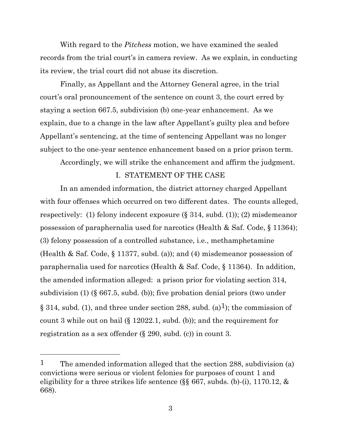With regard to the *Pitchess* motion, we have examined the sealed records from the trial court's in camera review. As we explain, in conducting its review, the trial court did not abuse its discretion.

Finally, as Appellant and the Attorney General agree, in the trial court's oral pronouncement of the sentence on count 3, the court erred by staying a section 667.5, subdivision (b) one-year enhancement. As we explain, due to a change in the law after Appellant's guilty plea and before Appellant's sentencing, at the time of sentencing Appellant was no longer subject to the one-year sentence enhancement based on a prior prison term.

Accordingly, we will strike the enhancement and affirm the judgment.

# I. STATEMENT OF THE CASE

In an amended information, the district attorney charged Appellant with four offenses which occurred on two different dates. The counts alleged, respectively: (1) felony indecent exposure (§ 314, subd. (1)); (2) misdemeanor possession of paraphernalia used for narcotics (Health & Saf. Code, § 11364); (3) felony possession of a controlled substance, i.e., methamphetamine (Health & Saf. Code, § 11377, subd. (a)); and (4) misdemeanor possession of paraphernalia used for narcotics (Health & Saf. Code, § 11364). In addition, the amended information alleged: a prison prior for violating section 314, subdivision (1) (§ 667.5, subd. (b)); five probation denial priors (two under § 314, subd. (1), and three under section 288, subd. (a)<sup>1</sup>); the commission of count 3 while out on bail (§ 12022.1, subd. (b)); and the requirement for registration as a sex offender (§ 290, subd. (c)) in count 3.

<sup>&</sup>lt;sup>1</sup> The amended information alleged that the section 288, subdivision (a) convictions were serious or violent felonies for purposes of count 1 and eligibility for a three strikes life sentence (§§ 667, subds. (b)-(i), 1170.12, & 668).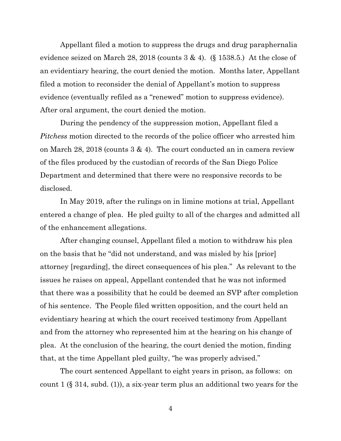Appellant filed a motion to suppress the drugs and drug paraphernalia evidence seized on March 28, 2018 (counts  $3 \& 4$ ). (§ 1538.5.) At the close of an evidentiary hearing, the court denied the motion. Months later, Appellant filed a motion to reconsider the denial of Appellant's motion to suppress evidence (eventually refiled as a "renewed" motion to suppress evidence). After oral argument, the court denied the motion.

During the pendency of the suppression motion, Appellant filed a *Pitchess* motion directed to the records of the police officer who arrested him on March 28, 2018 (counts 3 & 4). The court conducted an in camera review of the files produced by the custodian of records of the San Diego Police Department and determined that there were no responsive records to be disclosed.

In May 2019, after the rulings on in limine motions at trial, Appellant entered a change of plea. He pled guilty to all of the charges and admitted all of the enhancement allegations.

After changing counsel, Appellant filed a motion to withdraw his plea on the basis that he "did not understand, and was misled by his [prior] attorney [regarding], the direct consequences of his plea." As relevant to the issues he raises on appeal, Appellant contended that he was not informed that there was a possibility that he could be deemed an SVP after completion of his sentence. The People filed written opposition, and the court held an evidentiary hearing at which the court received testimony from Appellant and from the attorney who represented him at the hearing on his change of plea. At the conclusion of the hearing, the court denied the motion, finding that, at the time Appellant pled guilty, "he was properly advised."

The court sentenced Appellant to eight years in prison, as follows: on count 1 (§ 314, subd. (1)), a six-year term plus an additional two years for the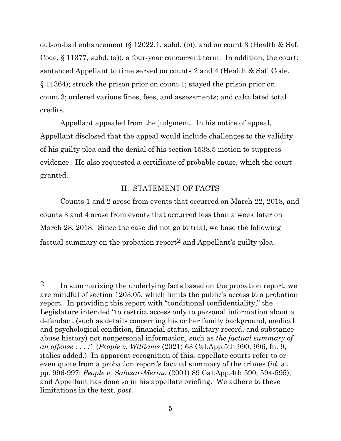out-on-bail enhancement (§ 12022.1, subd. (b)); and on count 3 (Health & Saf. Code, § 11377, subd. (a)), a four-year concurrent term. In addition, the court: sentenced Appellant to time served on counts 2 and 4 (Health & Saf. Code, § 11364); struck the prison prior on count 1; stayed the prison prior on count 3; ordered various fines, fees, and assessments; and calculated total credits.

Appellant appealed from the judgment. In his notice of appeal, Appellant disclosed that the appeal would include challenges to the validity of his guilty plea and the denial of his section 1538.5 motion to suppress evidence. He also requested a certificate of probable cause, which the court granted.

# II. STATEMENT OF FACTS

Counts 1 and 2 arose from events that occurred on March 22, 2018, and counts 3 and 4 arose from events that occurred less than a week later on March 28, 2018. Since the case did not go to trial, we base the following factual summary on the probation report<sup>2</sup> and Appellant's guilty plea.

<sup>2</sup> In summarizing the underlying facts based on the probation report, we are mindful of section 1203.05, which limits the public's access to a probation report. In providing this report with "conditional confidentiality," the Legislature intended "to restrict access only to personal information about a defendant (such as details concerning his or her family background, medical and psychological condition, financial status, military record, and substance abuse history) not nonpersonal information, such as *the factual summary of an offense* . . . ." (*People v. Williams* (2021) 63 Cal.App.5th 990, 996, fn. 9, italics added.) In apparent recognition of this, appellate courts refer to or even quote from a probation report's factual summary of the crimes (*id.* at pp. 996-997; *People v. Salazar-Merino* (2001) 89 Cal.App.4th 590, 594-595), and Appellant has done so in his appellate briefing. We adhere to these limitations in the text, *post*.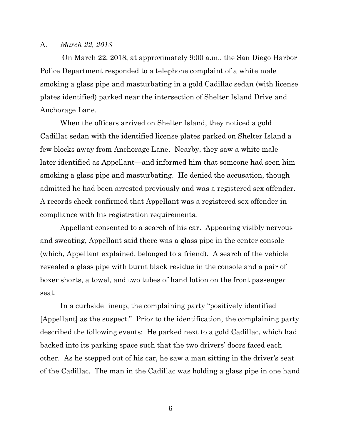#### A. *March 22, 2018*

On March 22, 2018, at approximately 9:00 a.m., the San Diego Harbor Police Department responded to a telephone complaint of a white male smoking a glass pipe and masturbating in a gold Cadillac sedan (with license plates identified) parked near the intersection of Shelter Island Drive and Anchorage Lane.

When the officers arrived on Shelter Island, they noticed a gold Cadillac sedan with the identified license plates parked on Shelter Island a few blocks away from Anchorage Lane. Nearby, they saw a white male later identified as Appellant—and informed him that someone had seen him smoking a glass pipe and masturbating. He denied the accusation, though admitted he had been arrested previously and was a registered sex offender. A records check confirmed that Appellant was a registered sex offender in compliance with his registration requirements.

Appellant consented to a search of his car. Appearing visibly nervous and sweating, Appellant said there was a glass pipe in the center console (which, Appellant explained, belonged to a friend). A search of the vehicle revealed a glass pipe with burnt black residue in the console and a pair of boxer shorts, a towel, and two tubes of hand lotion on the front passenger seat.

In a curbside lineup, the complaining party "positively identified [Appellant] as the suspect." Prior to the identification, the complaining party described the following events: He parked next to a gold Cadillac, which had backed into its parking space such that the two drivers' doors faced each other. As he stepped out of his car, he saw a man sitting in the driver's seat of the Cadillac. The man in the Cadillac was holding a glass pipe in one hand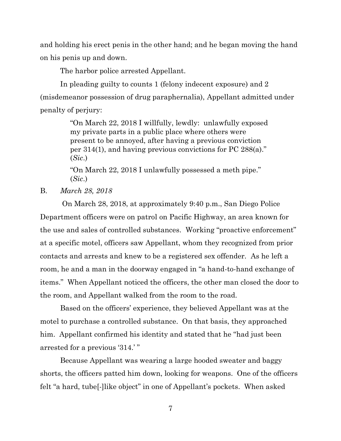and holding his erect penis in the other hand; and he began moving the hand on his penis up and down.

The harbor police arrested Appellant.

In pleading guilty to counts 1 (felony indecent exposure) and 2 (misdemeanor possession of drug paraphernalia), Appellant admitted under penalty of perjury:

> "On March 22, 2018 I willfully, lewdly: unlawfully exposed my private parts in a public place where others were present to be annoyed, after having a previous conviction per 314(1), and having previous convictions for PC 288(a)." (*Sic*.)

"On March 22, 2018 I unlawfully possessed a meth pipe." (*Sic*.)

B. *March 28, 2018*

On March 28, 2018, at approximately 9:40 p.m., San Diego Police Department officers were on patrol on Pacific Highway, an area known for the use and sales of controlled substances. Working "proactive enforcement" at a specific motel, officers saw Appellant, whom they recognized from prior contacts and arrests and knew to be a registered sex offender. As he left a room, he and a man in the doorway engaged in "a hand-to-hand exchange of items." When Appellant noticed the officers, the other man closed the door to the room, and Appellant walked from the room to the road.

Based on the officers' experience, they believed Appellant was at the motel to purchase a controlled substance. On that basis, they approached him. Appellant confirmed his identity and stated that he "had just been arrested for a previous '314.' "

Because Appellant was wearing a large hooded sweater and baggy shorts, the officers patted him down, looking for weapons. One of the officers felt "a hard, tube[-]like object" in one of Appellant's pockets. When asked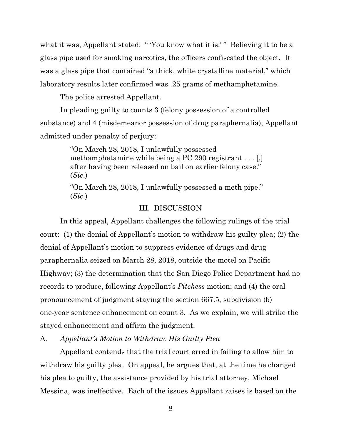what it was, Appellant stated: "You know what it is.'" Believing it to be a glass pipe used for smoking narcotics, the officers confiscated the object. It was a glass pipe that contained "a thick, white crystalline material," which laboratory results later confirmed was .25 grams of methamphetamine.

The police arrested Appellant.

In pleading guilty to counts 3 (felony possession of a controlled substance) and 4 (misdemeanor possession of drug paraphernalia), Appellant admitted under penalty of perjury:

> "On March 28, 2018, I unlawfully possessed methamphetamine while being a PC 290 registrant . . . [,] after having been released on bail on earlier felony case." (*Sic*.)

> "On March 28, 2018, I unlawfully possessed a meth pipe." (*Sic*.)

# III. DISCUSSION

In this appeal, Appellant challenges the following rulings of the trial court: (1) the denial of Appellant's motion to withdraw his guilty plea; (2) the denial of Appellant's motion to suppress evidence of drugs and drug paraphernalia seized on March 28, 2018, outside the motel on Pacific Highway; (3) the determination that the San Diego Police Department had no records to produce, following Appellant's *Pitchess* motion; and (4) the oral pronouncement of judgment staying the section 667.5, subdivision (b) one-year sentence enhancement on count 3. As we explain, we will strike the stayed enhancement and affirm the judgment.

A. *Appellant's Motion to Withdraw His Guilty Plea*

Appellant contends that the trial court erred in failing to allow him to withdraw his guilty plea. On appeal, he argues that, at the time he changed his plea to guilty, the assistance provided by his trial attorney, Michael Messina, was ineffective. Each of the issues Appellant raises is based on the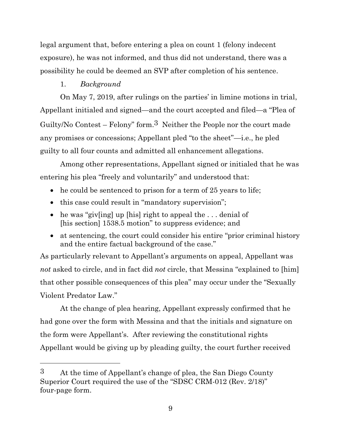legal argument that, before entering a plea on count 1 (felony indecent exposure), he was not informed, and thus did not understand, there was a possibility he could be deemed an SVP after completion of his sentence.

# 1. *Background*

On May 7, 2019, after rulings on the parties' in limine motions in trial, Appellant initialed and signed—and the court accepted and filed—a "Plea of Guilty/No Contest – Felony" form.3 Neither the People nor the court made any promises or concessions; Appellant pled "to the sheet"—i.e., he pled guilty to all four counts and admitted all enhancement allegations.

Among other representations, Appellant signed or initialed that he was entering his plea "freely and voluntarily" and understood that:

- he could be sentenced to prison for a term of 25 years to life;
- this case could result in "mandatory supervision";
- he was "giv[ing] up [his] right to appeal the ... denial of [his section] 1538.5 motion" to suppress evidence; and
- at sentencing, the court could consider his entire "prior criminal history" and the entire factual background of the case."

As particularly relevant to Appellant's arguments on appeal, Appellant was *not* asked to circle, and in fact did *not* circle, that Messina "explained to [him] that other possible consequences of this plea" may occur under the "Sexually Violent Predator Law."

At the change of plea hearing, Appellant expressly confirmed that he had gone over the form with Messina and that the initials and signature on the form were Appellant's. After reviewing the constitutional rights Appellant would be giving up by pleading guilty, the court further received

<sup>3</sup> At the time of Appellant's change of plea, the San Diego County Superior Court required the use of the "SDSC CRM-012 (Rev. 2/18)" four-page form.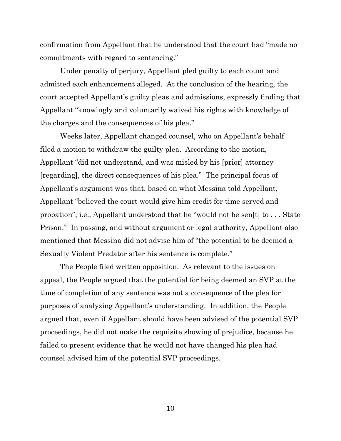confirmation from Appellant that he understood that the court had "made no commitments with regard to sentencing."

Under penalty of perjury, Appellant pled guilty to each count and admitted each enhancement alleged. At the conclusion of the hearing, the court accepted Appellant's guilty pleas and admissions, expressly finding that Appellant "knowingly and voluntarily waived his rights with knowledge of the charges and the consequences of his plea."

Weeks later, Appellant changed counsel, who on Appellant's behalf filed a motion to withdraw the guilty plea. According to the motion, Appellant "did not understand, and was misled by his [prior] attorney [regarding], the direct consequences of his plea." The principal focus of Appellant's argument was that, based on what Messina told Appellant, Appellant "believed the court would give him credit for time served and probation"; i.e., Appellant understood that he "would not be sen[t] to . . . State Prison." In passing, and without argument or legal authority, Appellant also mentioned that Messina did not advise him of "the potential to be deemed a Sexually Violent Predator after his sentence is complete."

The People filed written opposition. As relevant to the issues on appeal, the People argued that the potential for being deemed an SVP at the time of completion of any sentence was not a consequence of the plea for purposes of analyzing Appellant's understanding. In addition, the People argued that, even if Appellant should have been advised of the potential SVP proceedings, he did not make the requisite showing of prejudice, because he failed to present evidence that he would not have changed his plea had counsel advised him of the potential SVP proceedings.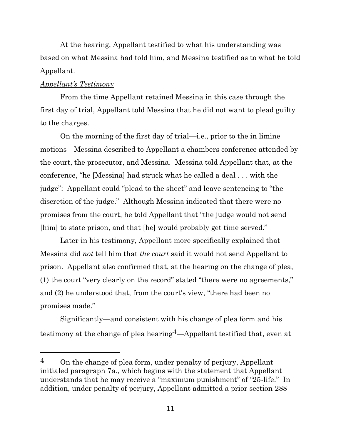At the hearing, Appellant testified to what his understanding was based on what Messina had told him, and Messina testified as to what he told Appellant.

### *Appellant's Testimony*

From the time Appellant retained Messina in this case through the first day of trial, Appellant told Messina that he did not want to plead guilty to the charges.

On the morning of the first day of trial—i.e., prior to the in limine motions—Messina described to Appellant a chambers conference attended by the court, the prosecutor, and Messina. Messina told Appellant that, at the conference, "he [Messina] had struck what he called a deal . . . with the judge": Appellant could "plead to the sheet" and leave sentencing to "the discretion of the judge." Although Messina indicated that there were no promises from the court, he told Appellant that "the judge would not send [him] to state prison, and that [he] would probably get time served."

Later in his testimony, Appellant more specifically explained that Messina did *not* tell him that *the court* said it would not send Appellant to prison. Appellant also confirmed that, at the hearing on the change of plea, (1) the court "very clearly on the record" stated "there were no agreements," and (2) he understood that, from the court's view, "there had been no promises made."

Significantly—and consistent with his change of plea form and his testimony at the change of plea hearing4—Appellant testified that, even at

 $4$  On the change of plea form, under penalty of perjury, Appellant initialed paragraph 7a., which begins with the statement that Appellant understands that he may receive a "maximum punishment" of "25-life." In addition, under penalty of perjury, Appellant admitted a prior section 288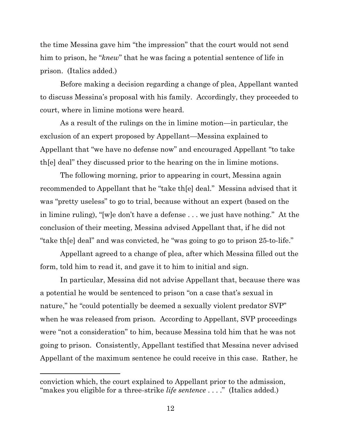the time Messina gave him "the impression" that the court would not send him to prison, he "*knew*" that he was facing a potential sentence of life in prison. (Italics added.)

Before making a decision regarding a change of plea, Appellant wanted to discuss Messina's proposal with his family. Accordingly, they proceeded to court, where in limine motions were heard.

As a result of the rulings on the in limine motion—in particular, the exclusion of an expert proposed by Appellant—Messina explained to Appellant that "we have no defense now" and encouraged Appellant "to take th[e] deal" they discussed prior to the hearing on the in limine motions.

The following morning, prior to appearing in court, Messina again recommended to Appellant that he "take th[e] deal." Messina advised that it was "pretty useless" to go to trial, because without an expert (based on the in limine ruling), "[w]e don't have a defense . . . we just have nothing." At the conclusion of their meeting, Messina advised Appellant that, if he did not "take th[e] deal" and was convicted, he "was going to go to prison 25-to-life."

Appellant agreed to a change of plea, after which Messina filled out the form, told him to read it, and gave it to him to initial and sign.

In particular, Messina did not advise Appellant that, because there was a potential he would be sentenced to prison "on a case that's sexual in nature," he "could potentially be deemed a sexually violent predator SVP" when he was released from prison. According to Appellant, SVP proceedings were "not a consideration" to him, because Messina told him that he was not going to prison. Consistently, Appellant testified that Messina never advised Appellant of the maximum sentence he could receive in this case. Rather, he

conviction which, the court explained to Appellant prior to the admission, "makes you eligible for a three-strike *life sentence* . . . ." (Italics added.)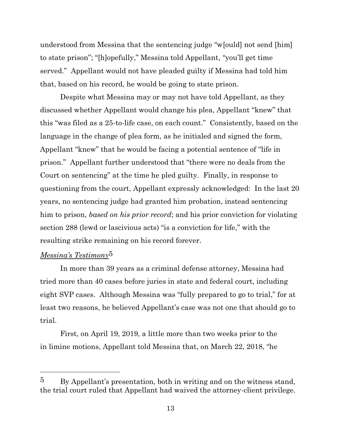understood from Messina that the sentencing judge "w[ould] not send [him] to state prison"; "[h]opefully," Messina told Appellant, "you'll get time served." Appellant would not have pleaded guilty if Messina had told him that, based on his record, he would be going to state prison.

Despite what Messina may or may not have told Appellant, as they discussed whether Appellant would change his plea, Appellant "knew" that this "was filed as a 25-to-life case, on each count." Consistently, based on the language in the change of plea form, as he initialed and signed the form, Appellant "knew" that he would be facing a potential sentence of "life in prison." Appellant further understood that "there were no deals from the Court on sentencing" at the time he pled guilty. Finally, in response to questioning from the court, Appellant expressly acknowledged: In the last 20 years, no sentencing judge had granted him probation, instead sentencing him to prison, *based on his prior record*; and his prior conviction for violating section 288 (lewd or lascivious acts) "is a conviction for life," with the resulting strike remaining on his record forever.

# *Messina's Testimony*5

In more than 39 years as a criminal defense attorney, Messina had tried more than 40 cases before juries in state and federal court, including eight SVP cases. Although Messina was "fully prepared to go to trial," for at least two reasons, he believed Appellant's case was not one that should go to trial.

First, on April 19, 2019, a little more than two weeks prior to the in limine motions, Appellant told Messina that, on March 22, 2018, "he

<sup>5</sup> By Appellant's presentation, both in writing and on the witness stand, the trial court ruled that Appellant had waived the attorney-client privilege.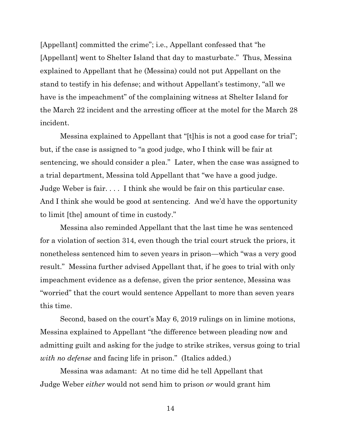[Appellant] committed the crime"; i.e., Appellant confessed that "he [Appellant] went to Shelter Island that day to masturbate." Thus, Messina explained to Appellant that he (Messina) could not put Appellant on the stand to testify in his defense; and without Appellant's testimony, "all we have is the impeachment" of the complaining witness at Shelter Island for the March 22 incident and the arresting officer at the motel for the March 28 incident.

Messina explained to Appellant that "[t]his is not a good case for trial"; but, if the case is assigned to "a good judge, who I think will be fair at sentencing, we should consider a plea." Later, when the case was assigned to a trial department, Messina told Appellant that "we have a good judge. Judge Weber is fair. . . . I think she would be fair on this particular case. And I think she would be good at sentencing. And we'd have the opportunity to limit [the] amount of time in custody."

Messina also reminded Appellant that the last time he was sentenced for a violation of section 314, even though the trial court struck the priors, it nonetheless sentenced him to seven years in prison—which "was a very good result." Messina further advised Appellant that, if he goes to trial with only impeachment evidence as a defense, given the prior sentence, Messina was "worried" that the court would sentence Appellant to more than seven years this time.

Second, based on the court's May 6, 2019 rulings on in limine motions, Messina explained to Appellant "the difference between pleading now and admitting guilt and asking for the judge to strike strikes, versus going to trial *with no defense* and facing life in prison." (Italics added.)

Messina was adamant: At no time did he tell Appellant that Judge Weber *either* would not send him to prison *or* would grant him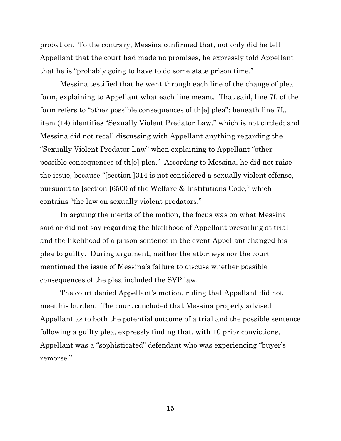probation. To the contrary, Messina confirmed that, not only did he tell Appellant that the court had made no promises, he expressly told Appellant that he is "probably going to have to do some state prison time."

Messina testified that he went through each line of the change of plea form, explaining to Appellant what each line meant. That said, line 7f. of the form refers to "other possible consequences of th[e] plea"; beneath line 7f., item (14) identifies "Sexually Violent Predator Law," which is not circled; and Messina did not recall discussing with Appellant anything regarding the "Sexually Violent Predator Law" when explaining to Appellant "other possible consequences of th[e] plea." According to Messina, he did not raise the issue, because "[section ]314 is not considered a sexually violent offense, pursuant to [section ]6500 of the Welfare & Institutions Code," which contains "the law on sexually violent predators."

In arguing the merits of the motion, the focus was on what Messina said or did not say regarding the likelihood of Appellant prevailing at trial and the likelihood of a prison sentence in the event Appellant changed his plea to guilty. During argument, neither the attorneys nor the court mentioned the issue of Messina's failure to discuss whether possible consequences of the plea included the SVP law.

The court denied Appellant's motion, ruling that Appellant did not meet his burden. The court concluded that Messina properly advised Appellant as to both the potential outcome of a trial and the possible sentence following a guilty plea, expressly finding that, with 10 prior convictions, Appellant was a "sophisticated" defendant who was experiencing "buyer's remorse."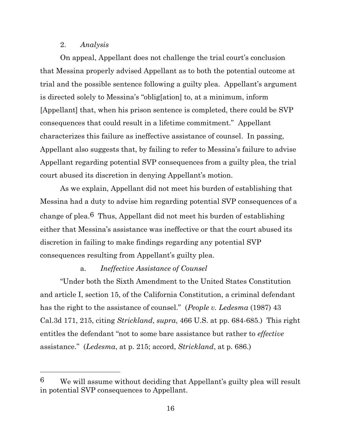#### 2. *Analysis*

On appeal, Appellant does not challenge the trial court's conclusion that Messina properly advised Appellant as to both the potential outcome at trial and the possible sentence following a guilty plea. Appellant's argument is directed solely to Messina's "oblig[ation] to, at a minimum, inform [Appellant] that, when his prison sentence is completed, there could be SVP consequences that could result in a lifetime commitment." Appellant characterizes this failure as ineffective assistance of counsel. In passing, Appellant also suggests that, by failing to refer to Messina's failure to advise Appellant regarding potential SVP consequences from a guilty plea, the trial court abused its discretion in denying Appellant's motion.

As we explain, Appellant did not meet his burden of establishing that Messina had a duty to advise him regarding potential SVP consequences of a change of plea.6 Thus, Appellant did not meet his burden of establishing either that Messina's assistance was ineffective or that the court abused its discretion in failing to make findings regarding any potential SVP consequences resulting from Appellant's guilty plea.

# a. *Ineffective Assistance of Counsel*

"Under both the Sixth Amendment to the United States Constitution and article I, section 15, of the California Constitution, a criminal defendant has the right to the assistance of counsel." (*People v. Ledesma* (1987) 43 Cal.3d 171, 215, citing *Strickland*, *supra*, 466 U.S. at pp. 684-685.) This right entitles the defendant "not to some bare assistance but rather to *effective* assistance." (*Ledesma*, at p. 215; accord, *Strickland*, at p. 686.)

<sup>6</sup> We will assume without deciding that Appellant's guilty plea will result in potential SVP consequences to Appellant.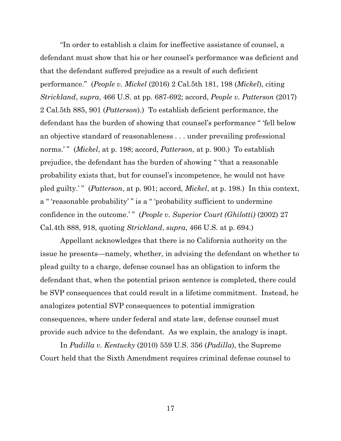"In order to establish a claim for ineffective assistance of counsel, a defendant must show that his or her counsel's performance was deficient and that the defendant suffered prejudice as a result of such deficient performance." (*People v. Mickel* (2016) 2 Cal.5th 181, 198 (*Mickel*), citing *Strickland*, *supra*, 466 U.S. at pp. 687-692; accord, *People v. Patterson* (2017) 2 Cal.5th 885, 901 (*Patterson*).) To establish deficient performance, the defendant has the burden of showing that counsel's performance " 'fell below an objective standard of reasonableness . . . under prevailing professional norms.'" (*Mickel*, at p. 198; accord, *Patterson*, at p. 900.) To establish prejudice, the defendant has the burden of showing " 'that a reasonable probability exists that, but for counsel's incompetence, he would not have pled guilty.' " (*Patterson*, at p. 901; accord, *Mickel*, at p. 198.) In this context, a " 'reasonable probability' " is a " 'probability sufficient to undermine confidence in the outcome.'" (*People v. Superior Court (Ghilotti)* (2002) 27 Cal.4th 888, 918, quoting *Strickland*, *supra*, 466 U.S. at p. 694.)

Appellant acknowledges that there is no California authority on the issue he presents—namely, whether, in advising the defendant on whether to plead guilty to a charge, defense counsel has an obligation to inform the defendant that, when the potential prison sentence is completed, there could be SVP consequences that could result in a lifetime commitment. Instead, he analogizes potential SVP consequences to potential immigration consequences, where under federal and state law, defense counsel must provide such advice to the defendant. As we explain, the analogy is inapt.

In *Padilla v. Kentucky* (2010) 559 U.S. 356 (*Padilla*), the Supreme Court held that the Sixth Amendment requires criminal defense counsel to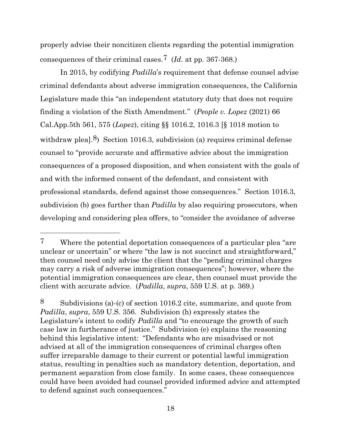properly advise their noncitizen clients regarding the potential immigration consequences of their criminal cases.7 (*Id.* at pp. 367-368.)

In 2015, by codifying *Padilla*'s requirement that defense counsel advise criminal defendants about adverse immigration consequences, the California Legislature made this "an independent statutory duty that does not require finding a violation of the Sixth Amendment." (*People v. Lopez* (2021) 66 Cal.App.5th 561, 575 (*Lopez*), citing §§ 1016.2, 1016.3 [§ 1018 motion to withdraw pleal. $8$ ) Section 1016.3, subdivision (a) requires criminal defense counsel to "provide accurate and affirmative advice about the immigration consequences of a proposed disposition, and when consistent with the goals of and with the informed consent of the defendant, and consistent with professional standards, defend against those consequences." Section 1016.3, subdivision (b) goes further than *Padilla* by also requiring prosecutors, when developing and considering plea offers, to "consider the avoidance of adverse

<sup>7</sup> Where the potential deportation consequences of a particular plea "are unclear or uncertain" or where "the law is not succinct and straightforward," then counsel need only advise the client that the "pending criminal charges may carry a risk of adverse immigration consequences"; however, where the potential immigration consequences are clear, then counsel must provide the client with accurate advice. (*Padilla*, *supra*, 559 U.S. at p. 369.)

<sup>8</sup> Subdivisions (a)-(c) of section 1016.2 cite, summarize, and quote from *Padilla*, *supra*, 559 U.S. 356. Subdivision (h) expressly states the Legislature's intent to codify *Padilla* and "to encourage the growth of such case law in furtherance of justice." Subdivision (e) explains the reasoning behind this legislative intent: "Defendants who are misadvised or not advised at all of the immigration consequences of criminal charges often suffer irreparable damage to their current or potential lawful immigration status, resulting in penalties such as mandatory detention, deportation, and permanent separation from close family. In some cases, these consequences could have been avoided had counsel provided informed advice and attempted to defend against such consequences."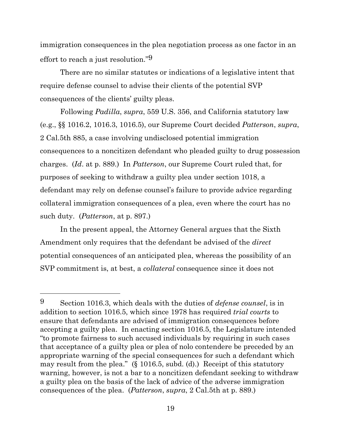immigration consequences in the plea negotiation process as one factor in an effort to reach a just resolution."9

There are no similar statutes or indications of a legislative intent that require defense counsel to advise their clients of the potential SVP consequences of the clients' guilty pleas.

Following *Padilla*, *supra*, 559 U.S. 356, and California statutory law (e.g., §§ 1016.2, 1016.3, 1016.5), our Supreme Court decided *Patterson*, *supra*, 2 Cal.5th 885, a case involving undisclosed potential immigration consequences to a noncitizen defendant who pleaded guilty to drug possession charges. (*Id*. at p. 889.) In *Patterson*, our Supreme Court ruled that, for purposes of seeking to withdraw a guilty plea under section 1018, a defendant may rely on defense counsel's failure to provide advice regarding collateral immigration consequences of a plea, even where the court has no such duty. (*Patterson*, at p. 897.)

In the present appeal, the Attorney General argues that the Sixth Amendment only requires that the defendant be advised of the *direct* potential consequences of an anticipated plea, whereas the possibility of an SVP commitment is, at best, a *collateral* consequence since it does not

<sup>9</sup> Section 1016.3, which deals with the duties of *defense counsel*, is in addition to section 1016.5, which since 1978 has required *trial courts* to ensure that defendants are advised of immigration consequences before accepting a guilty plea. In enacting section 1016.5, the Legislature intended "to promote fairness to such accused individuals by requiring in such cases that acceptance of a guilty plea or plea of nolo contendere be preceded by an appropriate warning of the special consequences for such a defendant which may result from the plea." (§ 1016.5, subd. (d).) Receipt of this statutory warning, however, is not a bar to a noncitizen defendant seeking to withdraw a guilty plea on the basis of the lack of advice of the adverse immigration consequences of the plea. (*Patterson*, *supra*, 2 Cal.5th at p. 889.)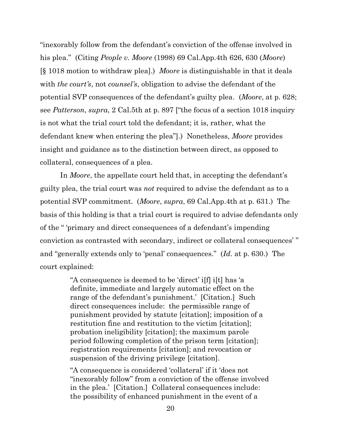"inexorably follow from the defendant's conviction of the offense involved in his plea." (Citing *People v. Moore* (1998) 69 Cal.App.4th 626, 630 (*Moore*) [§ 1018 motion to withdraw plea].) *Moore* is distinguishable in that it deals with *the court's*, not *counsel's*, obligation to advise the defendant of the potential SVP consequences of the defendant's guilty plea. (*Moore*, at p. 628; see *Patterson*, *supra*, 2 Cal.5th at p. 897 ["the focus of a section 1018 inquiry is not what the trial court told the defendant; it is, rather, what the defendant knew when entering the plea"].) Nonetheless, *Moore* provides insight and guidance as to the distinction between direct, as opposed to collateral, consequences of a plea.

In *Moore*, the appellate court held that, in accepting the defendant's guilty plea, the trial court was *not* required to advise the defendant as to a potential SVP commitment. (*Moore*, *supra*, 69 Cal.App.4th at p. 631.) The basis of this holding is that a trial court is required to advise defendants only of the " 'primary and direct consequences of a defendant's impending conviction as contrasted with secondary, indirect or collateral consequences' " and "generally extends only to 'penal' consequences." (*Id*. at p. 630.) The court explained:

> "A consequence is deemed to be 'direct' i[f] i[t] has 'a definite, immediate and largely automatic effect on the range of the defendant's punishment.' [Citation.] Such direct consequences include: the permissible range of punishment provided by statute [citation]; imposition of a restitution fine and restitution to the victim [citation]; probation ineligibility [citation]; the maximum parole period following completion of the prison term [citation]; registration requirements [citation]; and revocation or suspension of the driving privilege [citation].

"A consequence is considered 'collateral' if it 'does not "inexorably follow" from a conviction of the offense involved in the plea.' [Citation.] Collateral consequences include: the possibility of enhanced punishment in the event of a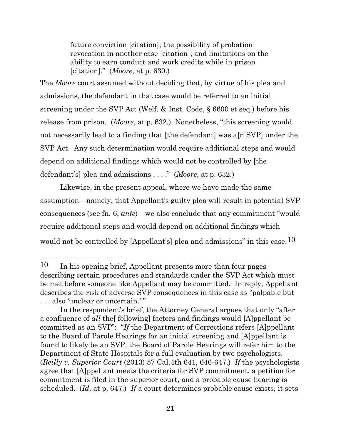future conviction [citation]; the possibility of probation revocation in another case [citation]; and limitations on the ability to earn conduct and work credits while in prison [citation]." (*Moore*, at p. 630.)

The *Moore* court assumed without deciding that, by virtue of his plea and admissions, the defendant in that case would be referred to an initial screening under the SVP Act (Welf. & Inst. Code, § 6600 et seq.) before his release from prison. (*Moore*, at p. 632.) Nonetheless, "this screening would not necessarily lead to a finding that [the defendant] was a[n SVP] under the SVP Act. Any such determination would require additional steps and would depend on additional findings which would not be controlled by [the defendant's] plea and admissions . . . ." (*Moore*, at p. 632.)

Likewise, in the present appeal, where we have made the same assumption—namely, that Appellant's guilty plea will result in potential SVP consequences (see fn. 6, *ante*)—we also conclude that any commitment "would require additional steps and would depend on additional findings which would not be controlled by [Appellant's] plea and admissions" in this case.<sup>10</sup>

<sup>10</sup> In his opening brief, Appellant presents more than four pages describing certain procedures and standards under the SVP Act which must be met before someone like Appellant may be committed. In reply, Appellant describes the risk of adverse SVP consequences in this case as "palpable but . . . also 'unclear or uncertain.' "

In the respondent's brief, the Attorney General argues that only "after a confluence of *all* the[ following] factors and findings would [A]ppellant be committed as an SVP": "*If* the Department of Corrections refers [A]ppellant to the Board of Parole Hearings for an initial screening and [A]ppellant is found to likely be an SVP, the Board of Parole Hearings will refer him to the Department of State Hospitals for a full evaluation by two psychologists. (*Reilly v. Superior Court* (2013) 57 Cal.4th 641, 646-647.) *If* the psychologists agree that [A]ppellant meets the criteria for SVP commitment, a petition for commitment is filed in the superior court, and a probable cause hearing is scheduled. (*Id*. at p. 647.) *If* a court determines probable cause exists, it sets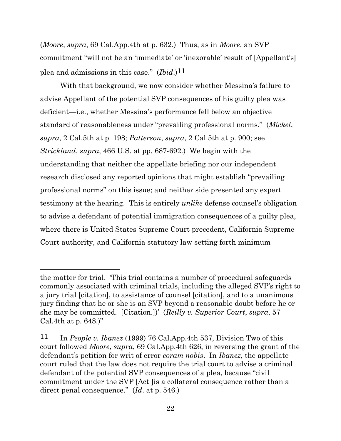(*Moore*, *supra*, 69 Cal.App.4th at p. 632.) Thus, as in *Moore*, an SVP commitment "will not be an 'immediate' or 'inexorable' result of [Appellant's] plea and admissions in this case." (*Ibid*.)11

With that background, we now consider whether Messina's failure to advise Appellant of the potential SVP consequences of his guilty plea was deficient—i.e., whether Messina's performance fell below an objective standard of reasonableness under "prevailing professional norms." (*Mickel*, *supra*, 2 Cal.5th at p. 198; *Patterson*, *supra*, 2 Cal.5th at p. 900; see *Strickland*, *supra*, 466 U.S. at pp. 687-692.) We begin with the understanding that neither the appellate briefing nor our independent research disclosed any reported opinions that might establish "prevailing professional norms" on this issue; and neither side presented any expert testimony at the hearing. This is entirely *unlike* defense counsel's obligation to advise a defendant of potential immigration consequences of a guilty plea, where there is United States Supreme Court precedent, California Supreme Court authority, and California statutory law setting forth minimum

the matter for trial. 'This trial contains a number of procedural safeguards commonly associated with criminal trials, including the alleged SVP's right to a jury trial [citation], to assistance of counsel [citation], and to a unanimous jury finding that he or she is an SVP beyond a reasonable doubt before he or she may be committed. [Citation.])' (*Reilly v. Superior Court*, *supra*, 57 Cal.4th at p. 648.)"

<sup>11</sup> In *People v. Ibanez* (1999) 76 Cal.App.4th 537, Division Two of this court followed *Moore*, *supra*, 69 Cal.App.4th 626, in reversing the grant of the defendant's petition for writ of error *coram nobis*. In *Ibanez*, the appellate court ruled that the law does not require the trial court to advise a criminal defendant of the potential SVP consequences of a plea, because "civil commitment under the SVP [Act ]is a collateral consequence rather than a direct penal consequence." (*Id*. at p. 546.)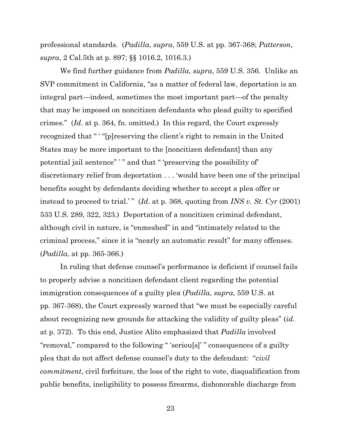professional standards. (*Padilla*, *supra*, 559 U.S. at pp. 367-368; *Patterson*, *supra*, 2 Cal.5th at p. 897; §§ 1016.2, 1016.3.)

We find further guidance from *Padilla*, *supra*, 559 U.S. 356. Unlike an SVP commitment in California, "as a matter of federal law, deportation is an integral part—indeed, sometimes the most important part—of the penalty that may be imposed on noncitizen defendants who plead guilty to specified crimes." (*Id*. at p. 364, fn. omitted.) In this regard, the Court expressly recognized that " ' "[p]reserving the client's right to remain in the United States may be more important to the [noncitizen defendant] than any potential jail sentence" ' " and that " 'preserving the possibility of' discretionary relief from deportation . . . 'would have been one of the principal benefits sought by defendants deciding whether to accept a plea offer or instead to proceed to trial.'" (*Id.* at p. 368, quoting from *INS v. St. Cyr* (2001) 533 U.S. 289, 322, 323.) Deportation of a noncitizen criminal defendant, although civil in nature, is "enmeshed" in and "intimately related to the criminal process," since it is "nearly an automatic result" for many offenses. (*Padilla*, at pp. 365-366.)

In ruling that defense counsel's performance is deficient if counsel fails to properly advise a noncitizen defendant client regarding the potential immigration consequences of a guilty plea (*Padilla*, *supra*, 559 U.S. at pp. 367-368), the Court expressly warned that "we must be especially careful about recognizing new grounds for attacking the validity of guilty pleas" (*id*. at p. 372). To this end, Justice Alito emphasized that *Padilla* involved "removal," compared to the following " 'seriou[s]' " consequences of a guilty plea that do not affect defense counsel's duty to the defendant: "*civil commitment*, civil forfeiture, the loss of the right to vote, disqualification from public benefits, ineligibility to possess firearms, dishonorable discharge from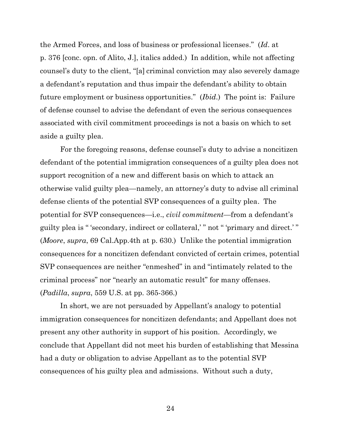the Armed Forces, and loss of business or professional licenses." (*Id*. at p. 376 [conc. opn. of Alito, J.], italics added.) In addition, while not affecting counsel's duty to the client, "[a] criminal conviction may also severely damage a defendant's reputation and thus impair the defendant's ability to obtain future employment or business opportunities." (*Ibid*.) The point is: Failure of defense counsel to advise the defendant of even the serious consequences associated with civil commitment proceedings is not a basis on which to set aside a guilty plea.

For the foregoing reasons, defense counsel's duty to advise a noncitizen defendant of the potential immigration consequences of a guilty plea does not support recognition of a new and different basis on which to attack an otherwise valid guilty plea—namely, an attorney's duty to advise all criminal defense clients of the potential SVP consequences of a guilty plea. The potential for SVP consequences—i.e., *civil commitment*—from a defendant's guilty plea is " 'secondary, indirect or collateral,' " not " 'primary and direct.' " (*Moore*, *supra*, 69 Cal.App.4th at p. 630.) Unlike the potential immigration consequences for a noncitizen defendant convicted of certain crimes, potential SVP consequences are neither "enmeshed" in and "intimately related to the criminal process" nor "nearly an automatic result" for many offenses. (*Padilla*, *supra*, 559 U.S. at pp. 365-366.)

In short, we are not persuaded by Appellant's analogy to potential immigration consequences for noncitizen defendants; and Appellant does not present any other authority in support of his position. Accordingly, we conclude that Appellant did not meet his burden of establishing that Messina had a duty or obligation to advise Appellant as to the potential SVP consequences of his guilty plea and admissions. Without such a duty,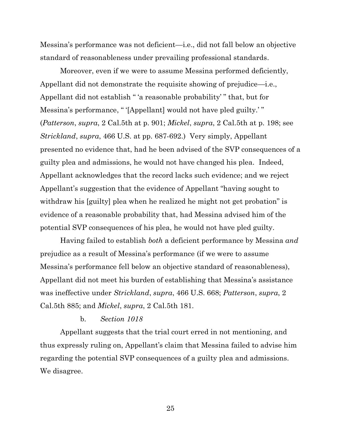Messina's performance was not deficient—i.e., did not fall below an objective standard of reasonableness under prevailing professional standards.

Moreover, even if we were to assume Messina performed deficiently, Appellant did not demonstrate the requisite showing of prejudice—i.e., Appellant did not establish " 'a reasonable probability' " that, but for Messina's performance, " '[Appellant] would not have pled guilty.' " (*Patterson*, *supra*, 2 Cal.5th at p. 901; *Mickel*, *supra*, 2 Cal.5th at p. 198; see *Strickland*, *supra*, 466 U.S. at pp. 687-692.) Very simply, Appellant presented no evidence that, had he been advised of the SVP consequences of a guilty plea and admissions, he would not have changed his plea. Indeed, Appellant acknowledges that the record lacks such evidence; and we reject Appellant's suggestion that the evidence of Appellant "having sought to withdraw his [guilty] plea when he realized he might not get probation" is evidence of a reasonable probability that, had Messina advised him of the potential SVP consequences of his plea, he would not have pled guilty.

Having failed to establish *both* a deficient performance by Messina *and* prejudice as a result of Messina's performance (if we were to assume Messina's performance fell below an objective standard of reasonableness), Appellant did not meet his burden of establishing that Messina's assistance was ineffective under *Strickland*, *supra*, 466 U.S. 668; *Patterson*, *supra*, 2 Cal.5th 885; and *Mickel*, *supra*, 2 Cal.5th 181.

#### b. *Section 1018*

Appellant suggests that the trial court erred in not mentioning, and thus expressly ruling on, Appellant's claim that Messina failed to advise him regarding the potential SVP consequences of a guilty plea and admissions. We disagree.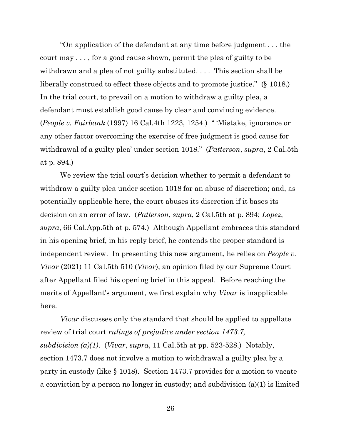"On application of the defendant at any time before judgment . . . the court may . . . , for a good cause shown, permit the plea of guilty to be withdrawn and a plea of not guilty substituted. ... This section shall be liberally construed to effect these objects and to promote justice." (§ 1018.) In the trial court, to prevail on a motion to withdraw a guilty plea, a defendant must establish good cause by clear and convincing evidence. (*People v. Fairbank* (1997) 16 Cal.4th 1223, 1254.) " 'Mistake, ignorance or any other factor overcoming the exercise of free judgment is good cause for withdrawal of a guilty plea' under section 1018." (*Patterson*, *supra*, 2 Cal.5th at p. 894.)

We review the trial court's decision whether to permit a defendant to withdraw a guilty plea under section 1018 for an abuse of discretion; and, as potentially applicable here, the court abuses its discretion if it bases its decision on an error of law. (*Patterson*, *supra*, 2 Cal.5th at p. 894; *Lopez*, *supra*, 66 Cal.App.5th at p. 574.) Although Appellant embraces this standard in his opening brief, in his reply brief, he contends the proper standard is independent review. In presenting this new argument, he relies on *People v. Vivar* (2021) 11 Cal.5th 510 (*Vivar*), an opinion filed by our Supreme Court after Appellant filed his opening brief in this appeal. Before reaching the merits of Appellant's argument, we first explain why *Vivar* is inapplicable here.

*Vivar* discusses only the standard that should be applied to appellate review of trial court *rulings of prejudice under section 1473.7, subdivision (a)(1)*. (*Vivar*, *supra*, 11 Cal.5th at pp. 523-528.) Notably, section 1473.7 does not involve a motion to withdrawal a guilty plea by a party in custody (like § 1018). Section 1473.7 provides for a motion to vacate a conviction by a person no longer in custody; and subdivision (a)(1) is limited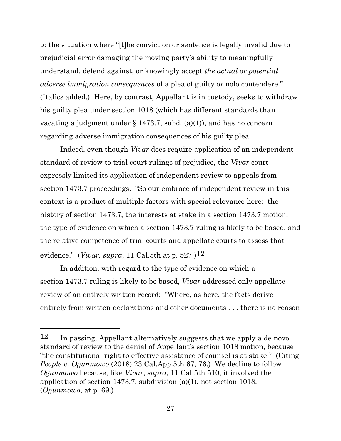to the situation where "[t]he conviction or sentence is legally invalid due to prejudicial error damaging the moving party's ability to meaningfully understand, defend against, or knowingly accept *the actual or potential adverse immigration consequences* of a plea of guilty or nolo contendere." (Italics added.) Here, by contrast, Appellant is in custody, seeks to withdraw his guilty plea under section 1018 (which has different standards than vacating a judgment under  $\S$  1473.7, subd. (a)(1)), and has no concern regarding adverse immigration consequences of his guilty plea.

Indeed, even though *Vivar* does require application of an independent standard of review to trial court rulings of prejudice, the *Vivar* court expressly limited its application of independent review to appeals from section 1473.7 proceedings. "So our embrace of independent review in this context is a product of multiple factors with special relevance here: the history of section 1473.7, the interests at stake in a section 1473.7 motion, the type of evidence on which a section 1473.7 ruling is likely to be based, and the relative competence of trial courts and appellate courts to assess that evidence." (*Vivar, supra*, 11 Cal.5th at p. 527.)<sup>12</sup>

In addition, with regard to the type of evidence on which a section 1473.7 ruling is likely to be based, *Vivar* addressed only appellate review of an entirely written record: "Where, as here, the facts derive entirely from written declarations and other documents . . . there is no reason

<sup>12</sup> In passing, Appellant alternatively suggests that we apply a de novo standard of review to the denial of Appellant's section 1018 motion, because "the constitutional right to effective assistance of counsel is at stake." (Citing *People v. Ogunmowo* (2018) 23 Cal.App.5th 67, 76.) We decline to follow *Ogunmowo* because, like *Vivar*, *supra*, 11 Cal.5th 510, it involved the application of section 1473.7, subdivision (a)(1), not section 1018. (*Ogunmowo*, at p. 69.)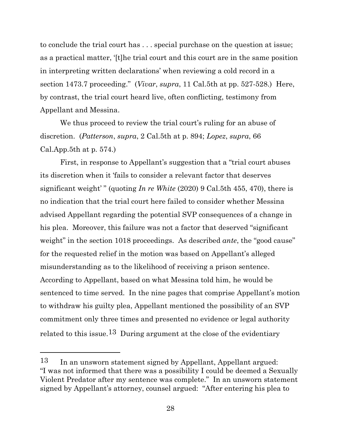to conclude the trial court has . . . special purchase on the question at issue; as a practical matter, '[t]he trial court and this court are in the same position in interpreting written declarations' when reviewing a cold record in a section 1473.7 proceeding." (*Vivar*, *supra*, 11 Cal.5th at pp. 527-528.) Here, by contrast, the trial court heard live, often conflicting, testimony from Appellant and Messina.

We thus proceed to review the trial court's ruling for an abuse of discretion. (*Patterson*, *supra*, 2 Cal.5th at p. 894; *Lopez*, *supra*, 66 Cal.App.5th at p. 574.)

First, in response to Appellant's suggestion that a "trial court abuses its discretion when it 'fails to consider a relevant factor that deserves significant weight' " (quoting *In re White* (2020) 9 Cal.5th 455, 470), there is no indication that the trial court here failed to consider whether Messina advised Appellant regarding the potential SVP consequences of a change in his plea. Moreover, this failure was not a factor that deserved "significant weight" in the section 1018 proceedings. As described *ante*, the "good cause" for the requested relief in the motion was based on Appellant's alleged misunderstanding as to the likelihood of receiving a prison sentence. According to Appellant, based on what Messina told him, he would be sentenced to time served. In the nine pages that comprise Appellant's motion to withdraw his guilty plea, Appellant mentioned the possibility of an SVP commitment only three times and presented no evidence or legal authority related to this issue.<sup>13</sup> During argument at the close of the evidentiary

<sup>13</sup> In an unsworn statement signed by Appellant, Appellant argued: "I was not informed that there was a possibility I could be deemed a Sexually Violent Predator after my sentence was complete." In an unsworn statement signed by Appellant's attorney, counsel argued: "After entering his plea to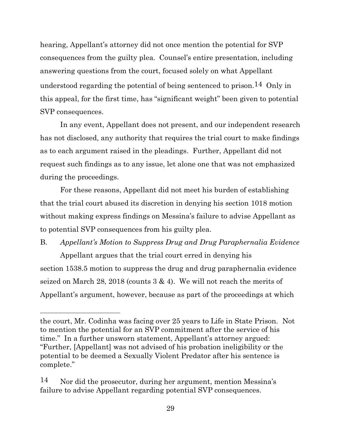hearing, Appellant's attorney did not once mention the potential for SVP consequences from the guilty plea. Counsel's entire presentation, including answering questions from the court, focused solely on what Appellant understood regarding the potential of being sentenced to prison.14 Only in this appeal, for the first time, has "significant weight" been given to potential SVP consequences.

In any event, Appellant does not present, and our independent research has not disclosed, any authority that requires the trial court to make findings as to each argument raised in the pleadings. Further, Appellant did not request such findings as to any issue, let alone one that was not emphasized during the proceedings.

For these reasons, Appellant did not meet his burden of establishing that the trial court abused its discretion in denying his section 1018 motion without making express findings on Messina's failure to advise Appellant as to potential SVP consequences from his guilty plea.

# B. *Appellant's Motion to Suppress Drug and Drug Paraphernalia Evidence* Appellant argues that the trial court erred in denying his

section 1538.5 motion to suppress the drug and drug paraphernalia evidence seized on March 28, 2018 (counts  $3 \& 4$ ). We will not reach the merits of Appellant's argument, however, because as part of the proceedings at which

the court, Mr. Codinha was facing over 25 years to Life in State Prison. Not to mention the potential for an SVP commitment after the service of his time." In a further unsworn statement, Appellant's attorney argued: "Further, [Appellant] was not advised of his probation ineligibility or the potential to be deemed a Sexually Violent Predator after his sentence is complete."

<sup>14</sup> Nor did the prosecutor, during her argument, mention Messina's failure to advise Appellant regarding potential SVP consequences.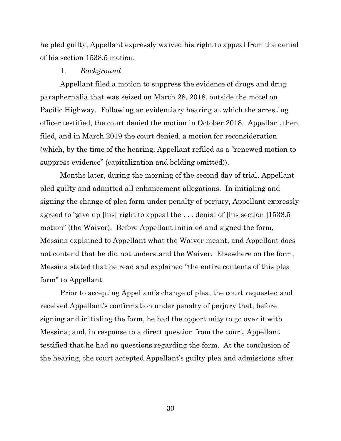he pled guilty, Appellant expressly waived his right to appeal from the denial of his section 1538.5 motion.

#### 1. *Background*

Appellant filed a motion to suppress the evidence of drugs and drug paraphernalia that was seized on March 28, 2018, outside the motel on Pacific Highway. Following an evidentiary hearing at which the arresting officer testified, the court denied the motion in October 2018. Appellant then filed, and in March 2019 the court denied, a motion for reconsideration (which, by the time of the hearing, Appellant refiled as a "renewed motion to suppress evidence" (capitalization and bolding omitted)).

Months later, during the morning of the second day of trial, Appellant pled guilty and admitted all enhancement allegations. In initialing and signing the change of plea form under penalty of perjury, Appellant expressly agreed to "give up [his] right to appeal the . . . denial of [his section ]1538.5 motion" (the Waiver). Before Appellant initialed and signed the form, Messina explained to Appellant what the Waiver meant, and Appellant does not contend that he did not understand the Waiver. Elsewhere on the form, Messina stated that he read and explained "the entire contents of this plea form" to Appellant.

Prior to accepting Appellant's change of plea, the court requested and received Appellant's confirmation under penalty of perjury that, before signing and initialing the form, he had the opportunity to go over it with Messina; and, in response to a direct question from the court, Appellant testified that he had no questions regarding the form. At the conclusion of the hearing, the court accepted Appellant's guilty plea and admissions after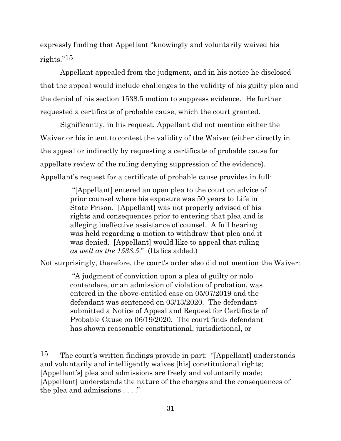expressly finding that Appellant "knowingly and voluntarily waived his rights."15

Appellant appealed from the judgment, and in his notice he disclosed that the appeal would include challenges to the validity of his guilty plea and the denial of his section 1538.5 motion to suppress evidence. He further requested a certificate of probable cause, which the court granted.

Significantly, in his request, Appellant did not mention either the Waiver or his intent to contest the validity of the Waiver (either directly in the appeal or indirectly by requesting a certificate of probable cause for appellate review of the ruling denying suppression of the evidence). Appellant's request for a certificate of probable cause provides in full:

> "[Appellant] entered an open plea to the court on advice of prior counsel where his exposure was 50 years to Life in State Prison. [Appellant] was not properly advised of his rights and consequences prior to entering that plea and is alleging ineffective assistance of counsel. A full hearing was held regarding a motion to withdraw that plea and it was denied. [Appellant] would like to appeal that ruling *as well as the 1538.5*." (Italics added.)

Not surprisingly, therefore, the court's order also did not mention the Waiver:

"A judgment of conviction upon a plea of guilty or nolo contendere, or an admission of violation of probation, was entered in the above-entitled case on 05/07/2019 and the defendant was sentenced on 03/13/2020. The defendant submitted a Notice of Appeal and Request for Certificate of Probable Cause on 06/19/2020. The court finds defendant has shown reasonable constitutional, jurisdictional, or

<sup>15</sup> The court's written findings provide in part: "[Appellant] understands and voluntarily and intelligently waives [his] constitutional rights; [Appellant's] plea and admissions are freely and voluntarily made; [Appellant] understands the nature of the charges and the consequences of the plea and admissions . . . ."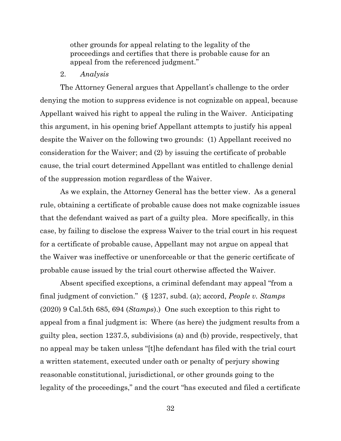other grounds for appeal relating to the legality of the proceedings and certifies that there is probable cause for an appeal from the referenced judgment."

#### 2. *Analysis*

The Attorney General argues that Appellant's challenge to the order denying the motion to suppress evidence is not cognizable on appeal, because Appellant waived his right to appeal the ruling in the Waiver. Anticipating this argument, in his opening brief Appellant attempts to justify his appeal despite the Waiver on the following two grounds: (1) Appellant received no consideration for the Waiver; and (2) by issuing the certificate of probable cause, the trial court determined Appellant was entitled to challenge denial of the suppression motion regardless of the Waiver.

As we explain, the Attorney General has the better view. As a general rule, obtaining a certificate of probable cause does not make cognizable issues that the defendant waived as part of a guilty plea. More specifically, in this case, by failing to disclose the express Waiver to the trial court in his request for a certificate of probable cause, Appellant may not argue on appeal that the Waiver was ineffective or unenforceable or that the generic certificate of probable cause issued by the trial court otherwise affected the Waiver.

Absent specified exceptions, a criminal defendant may appeal "from a final judgment of conviction." (§ 1237, subd. (a); accord, *People v. Stamps* (2020) 9 Cal.5th 685, 694 (*Stamps*).) One such exception to this right to appeal from a final judgment is: Where (as here) the judgment results from a guilty plea, section 1237.5, subdivisions (a) and (b) provide, respectively, that no appeal may be taken unless "[t]he defendant has filed with the trial court a written statement, executed under oath or penalty of perjury showing reasonable constitutional, jurisdictional, or other grounds going to the legality of the proceedings," and the court "has executed and filed a certificate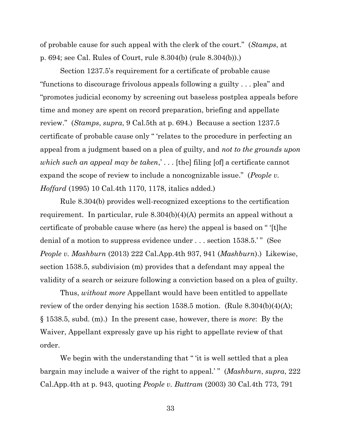of probable cause for such appeal with the clerk of the court." (*Stamps*, at p. 694; see Cal. Rules of Court, rule 8.304(b) (rule 8.304(b)).)

Section 1237.5's requirement for a certificate of probable cause "functions to discourage frivolous appeals following a guilty . . . plea" and "promotes judicial economy by screening out baseless postplea appeals before time and money are spent on record preparation, briefing and appellate review." (*Stamps*, *supra*, 9 Cal.5th at p. 694.) Because a section 1237.5 certificate of probable cause only " 'relates to the procedure in perfecting an appeal from a judgment based on a plea of guilty, and *not to the grounds upon which such an appeal may be taken*,' . . . [the] filing [of] a certificate cannot expand the scope of review to include a noncognizable issue." (*People v. Hoffard* (1995) 10 Cal.4th 1170, 1178, italics added.)

Rule 8.304(b) provides well-recognized exceptions to the certification requirement. In particular, rule 8.304(b)(4)(A) permits an appeal without a certificate of probable cause where (as here) the appeal is based on " '[t]he denial of a motion to suppress evidence under . . . section 1538.5.'" (See *People v. Mashburn* (2013) 222 Cal.App.4th 937, 941 (*Mashburn*).) Likewise, section 1538.5, subdivision (m) provides that a defendant may appeal the validity of a search or seizure following a conviction based on a plea of guilty.

Thus, *without more* Appellant would have been entitled to appellate review of the order denying his section 1538.5 motion. (Rule 8.304(b)(4)(A); § 1538.5, subd. (m).) In the present case, however, there is *more*: By the Waiver, Appellant expressly gave up his right to appellate review of that order.

We begin with the understanding that " 'it is well settled that a plear bargain may include a waiver of the right to appeal.' " (*Mashburn*, *supra*, 222 Cal.App.4th at p. 943, quoting *People v. Buttram* (2003) 30 Cal.4th 773, 791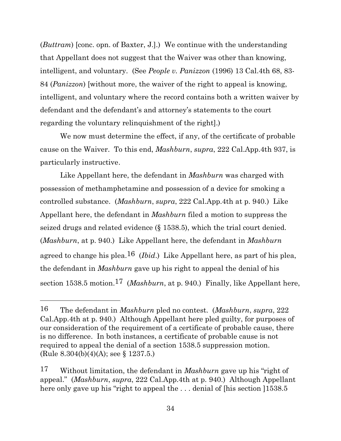(*Buttram*) [conc. opn. of Baxter, J.].) We continue with the understanding that Appellant does not suggest that the Waiver was other than knowing, intelligent, and voluntary. (See *People v. Panizzon* (1996) 13 Cal.4th 68, 83- 84 (*Panizzon*) [without more, the waiver of the right to appeal is knowing, intelligent, and voluntary where the record contains both a written waiver by defendant and the defendant's and attorney's statements to the court regarding the voluntary relinquishment of the right].)

We now must determine the effect, if any, of the certificate of probable cause on the Waiver. To this end, *Mashburn*, *supra*, 222 Cal.App.4th 937, is particularly instructive.

Like Appellant here, the defendant in *Mashburn* was charged with possession of methamphetamine and possession of a device for smoking a controlled substance. (*Mashburn*, *supra*, 222 Cal.App.4th at p. 940.) Like Appellant here, the defendant in *Mashburn* filed a motion to suppress the seized drugs and related evidence (§ 1538.5), which the trial court denied. (*Mashburn*, at p. 940.) Like Appellant here, the defendant in *Mashburn* agreed to change his plea.16 (*Ibid*.) Like Appellant here, as part of his plea, the defendant in *Mashburn* gave up his right to appeal the denial of his section 1538.5 motion.<sup>17</sup> (*Mashburn*, at p. 940.) Finally, like Appellant here,

<sup>16</sup> The defendant in *Mashburn* pled no contest. (*Mashburn*, *supra*, 222 Cal.App.4th at p. 940.) Although Appellant here pled guilty, for purposes of our consideration of the requirement of a certificate of probable cause, there is no difference. In both instances, a certificate of probable cause is not required to appeal the denial of a section 1538.5 suppression motion. (Rule 8.304(b)(4)(A); see § 1237.5.)

<sup>17</sup> Without limitation, the defendant in *Mashburn* gave up his "right of appeal." (*Mashburn*, *supra*, 222 Cal.App.4th at p. 940.) Although Appellant here only gave up his "right to appeal the ... denial of [his section ]1538.5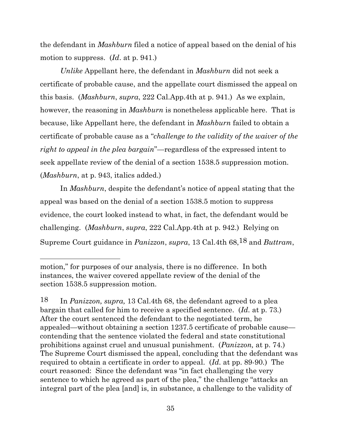the defendant in *Mashburn* filed a notice of appeal based on the denial of his motion to suppress. (*Id*. at p. 941.)

*Unlike* Appellant here, the defendant in *Mashburn* did not seek a certificate of probable cause, and the appellate court dismissed the appeal on this basis. (*Mashburn*, *supra*, 222 Cal.App.4th at p. 941.) As we explain, however, the reasoning in *Mashburn* is nonetheless applicable here. That is because, like Appellant here, the defendant in *Mashburn* failed to obtain a certificate of probable cause as a "*challenge to the validity of the waiver of the right to appeal in the plea bargain*"—regardless of the expressed intent to seek appellate review of the denial of a section 1538.5 suppression motion. (*Mashburn*, at p. 943, italics added.)

In *Mashburn*, despite the defendant's notice of appeal stating that the appeal was based on the denial of a section 1538.5 motion to suppress evidence, the court looked instead to what, in fact, the defendant would be challenging. (*Mashburn*, *supra*, 222 Cal.App.4th at p. 942.) Relying on Supreme Court guidance in *Panizzon*, *supra*, 13 Cal.4th 68,18 and *Buttram*,

motion," for purposes of our analysis, there is no difference. In both instances, the waiver covered appellate review of the denial of the section 1538.5 suppression motion.

<sup>18</sup> In *Panizzon, supra,* 13 Cal.4th 68, the defendant agreed to a plea bargain that called for him to receive a specified sentence. (*Id.* at p. 73.) After the court sentenced the defendant to the negotiated term, he appealed—without obtaining a section 1237.5 certificate of probable cause contending that the sentence violated the federal and state constitutional prohibitions against cruel and unusual punishment. (*Panizzon,* at p. 74.) The Supreme Court dismissed the appeal, concluding that the defendant was required to obtain a certificate in order to appeal. (*Id.* at pp. 89-90.) The court reasoned: Since the defendant was "in fact challenging the very sentence to which he agreed as part of the plea," the challenge "attacks an integral part of the plea [and] is, in substance, a challenge to the validity of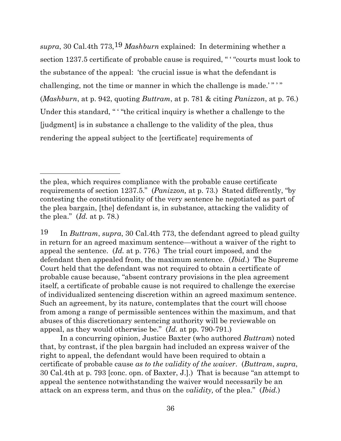*supra*, 30 Cal.4th 773,19 *Mashburn* explained: In determining whether a section 1237.5 certificate of probable cause is required, " ' "courts must look to the substance of the appeal: 'the crucial issue is what the defendant is challenging, not the time or manner in which the challenge is made.'"'" (*Mashburn*, at p. 942, quoting *Buttram*, at p. 781 & citing *Panizzon*, at p. 76.) Under this standard, " "the critical inquiry is whether a challenge to the [judgment] is in substance a challenge to the validity of the plea, thus rendering the appeal subject to the [certificate] requirements of

19 In *Buttram*, *supra*, 30 Cal.4th 773, the defendant agreed to plead guilty in return for an agreed maximum sentence—without a waiver of the right to appeal the sentence. (*Id.* at p. 776.) The trial court imposed, and the defendant then appealed from, the maximum sentence. (*Ibid*.) The Supreme Court held that the defendant was not required to obtain a certificate of probable cause because, "absent contrary provisions in the plea agreement itself, a certificate of probable cause is not required to challenge the exercise of individualized sentencing discretion within an agreed maximum sentence. Such an agreement, by its nature, contemplates that the court will choose from among a range of permissible sentences within the maximum, and that abuses of this discretionary sentencing authority will be reviewable on appeal, as they would otherwise be." (*Id.* at pp. 790-791.)

In a concurring opinion, Justice Baxter (who authored *Buttram*) noted that, by contrast, if the plea bargain had included an express waiver of the right to appeal, the defendant would have been required to obtain a certificate of probable cause *as to the validity of the waiver*. (*Buttram*, *supra*, 30 Cal.4th at p. 793 [conc. opn. of Baxter, J.].) That is because "an attempt to appeal the sentence notwithstanding the waiver would necessarily be an attack on an express term, and thus on the *validity,* of the plea." (*Ibid.*)

the plea, which requires compliance with the probable cause certificate requirements of section 1237.5." (*Panizzon,* at p. 73.) Stated differently, "by contesting the constitutionality of the very sentence he negotiated as part of the plea bargain, [the] defendant is, in substance, attacking the validity of the plea." (*Id.* at p. 78.)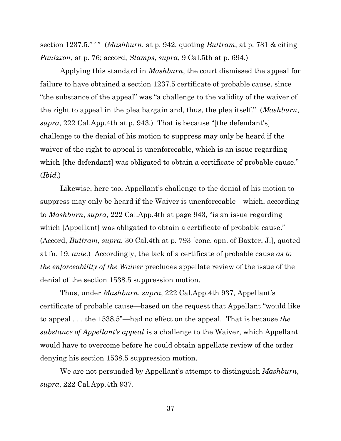section 1237.5." ' " (*Mashburn*, at p. 942, quoting *Buttram*, at p. 781 & citing *Panizzon*, at p. 76; accord, *Stamps*, *supra*, 9 Cal.5th at p. 694.)

Applying this standard in *Mashburn*, the court dismissed the appeal for failure to have obtained a section 1237.5 certificate of probable cause, since "the substance of the appeal" was "a challenge to the validity of the waiver of the right to appeal in the plea bargain and, thus, the plea itself." (*Mashburn*, *supra*, 222 Cal.App.4th at p. 943.) That is because "[the defendant's] challenge to the denial of his motion to suppress may only be heard if the waiver of the right to appeal is unenforceable, which is an issue regarding which [the defendant] was obligated to obtain a certificate of probable cause." (*Ibid*.)

Likewise, here too, Appellant's challenge to the denial of his motion to suppress may only be heard if the Waiver is unenforceable—which, according to *Mashburn*, *supra*, 222 Cal.App.4th at page 943, "is an issue regarding which [Appellant] was obligated to obtain a certificate of probable cause." (Accord, *Buttram*, *supra*, 30 Cal.4th at p. 793 [conc. opn. of Baxter, J.], quoted at fn. 19, *ante*.) Accordingly, the lack of a certificate of probable cause *as to the enforceability of the Waiver* precludes appellate review of the issue of the denial of the section 1538.5 suppression motion.

Thus, under *Mashburn*, *supra*, 222 Cal.App.4th 937, Appellant's certificate of probable cause—based on the request that Appellant "would like to appeal . . . the 1538.5"—had no effect on the appeal. That is because *the substance of Appellant's appeal* is a challenge to the Waiver, which Appellant would have to overcome before he could obtain appellate review of the order denying his section 1538.5 suppression motion.

We are not persuaded by Appellant's attempt to distinguish *Mashburn*, *supra*, 222 Cal.App.4th 937.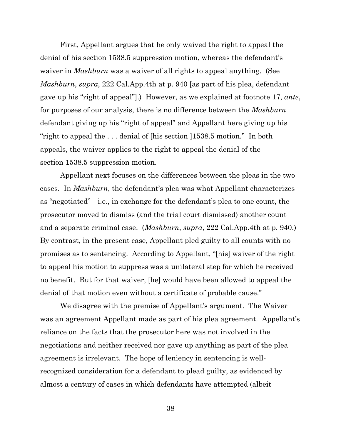First, Appellant argues that he only waived the right to appeal the denial of his section 1538.5 suppression motion, whereas the defendant's waiver in *Mashburn* was a waiver of all rights to appeal anything. (See *Mashburn*, *supra*, 222 Cal.App.4th at p. 940 [as part of his plea, defendant gave up his "right of appeal"].) However, as we explained at footnote 17, *ante*, for purposes of our analysis, there is no difference between the *Mashburn* defendant giving up his "right of appeal" and Appellant here giving up his "right to appeal the . . . denial of [his section ]1538.5 motion." In both appeals, the waiver applies to the right to appeal the denial of the section 1538.5 suppression motion.

Appellant next focuses on the differences between the pleas in the two cases. In *Mashburn*, the defendant's plea was what Appellant characterizes as "negotiated"—i.e., in exchange for the defendant's plea to one count, the prosecutor moved to dismiss (and the trial court dismissed) another count and a separate criminal case. (*Mashburn*, *supra*, 222 Cal.App.4th at p. 940.) By contrast, in the present case, Appellant pled guilty to all counts with no promises as to sentencing. According to Appellant, "[his] waiver of the right to appeal his motion to suppress was a unilateral step for which he received no benefit. But for that waiver, [he] would have been allowed to appeal the denial of that motion even without a certificate of probable cause."

We disagree with the premise of Appellant's argument. The Waiver was an agreement Appellant made as part of his plea agreement. Appellant's reliance on the facts that the prosecutor here was not involved in the negotiations and neither received nor gave up anything as part of the plea agreement is irrelevant. The hope of leniency in sentencing is wellrecognized consideration for a defendant to plead guilty, as evidenced by almost a century of cases in which defendants have attempted (albeit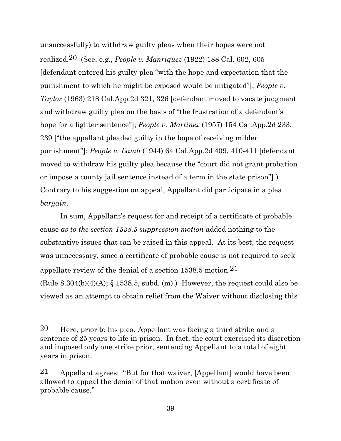unsuccessfully) to withdraw guilty pleas when their hopes were not realized.20 (See, e.g., *People v. Manriquez* (1922) 188 Cal. 602, 605 [defendant entered his guilty plea "with the hope and expectation that the punishment to which he might be exposed would be mitigated"]; *People v. Taylor* (1963) 218 Cal.App.2d 321, 326 [defendant moved to vacate judgment and withdraw guilty plea on the basis of "the frustration of a defendant's hope for a lighter sentence"]; *People v. Martinez* (1957) 154 Cal.App.2d 233, 239 ["the appellant pleaded guilty in the hope of receiving milder punishment"]; *People v. Lamb* (1944) 64 Cal.App.2d 409, 410-411 [defendant moved to withdraw his guilty plea because the "court did not grant probation or impose a county jail sentence instead of a term in the state prison"].) Contrary to his suggestion on appeal, Appellant did participate in a plea *bargain*.

In sum, Appellant's request for and receipt of a certificate of probable cause *as to the section 1538.5 suppression motion* added nothing to the substantive issues that can be raised in this appeal. At its best, the request was unnecessary, since a certificate of probable cause is not required to seek appellate review of the denial of a section 1538.5 motion.21 (Rule  $8.304(b)(4)(A)$ ;  $\S 1538.5$ , subd. (m).) However, the request could also be viewed as an attempt to obtain relief from the Waiver without disclosing this

 $20$  Here, prior to his plea, Appellant was facing a third strike and a sentence of 25 years to life in prison. In fact, the court exercised its discretion and imposed only one strike prior, sentencing Appellant to a total of eight years in prison.

<sup>21</sup> Appellant agrees: "But for that waiver, [Appellant] would have been allowed to appeal the denial of that motion even without a certificate of probable cause."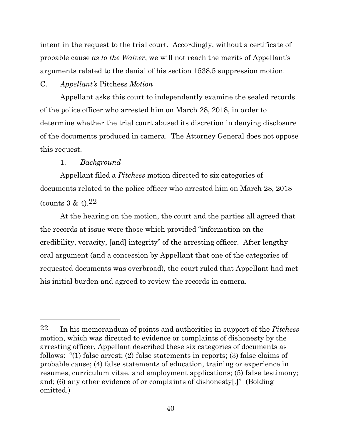intent in the request to the trial court. Accordingly, without a certificate of probable cause *as to the Waiver*, we will not reach the merits of Appellant's arguments related to the denial of his section 1538.5 suppression motion.

#### C. *Appellant's* Pitchess *Motion*

Appellant asks this court to independently examine the sealed records of the police officer who arrested him on March 28, 2018, in order to determine whether the trial court abused its discretion in denying disclosure of the documents produced in camera. The Attorney General does not oppose this request.

## 1. *Background*

Appellant filed a *Pitchess* motion directed to six categories of documents related to the police officer who arrested him on March 28, 2018 (counts 3 & 4).22

At the hearing on the motion, the court and the parties all agreed that the records at issue were those which provided "information on the credibility, veracity, [and] integrity" of the arresting officer. After lengthy oral argument (and a concession by Appellant that one of the categories of requested documents was overbroad), the court ruled that Appellant had met his initial burden and agreed to review the records in camera.

<sup>22</sup> In his memorandum of points and authorities in support of the *Pitchess* motion, which was directed to evidence or complaints of dishonesty by the arresting officer, Appellant described these six categories of documents as follows: "(1) false arrest; (2) false statements in reports; (3) false claims of probable cause; (4) false statements of education, training or experience in resumes, curriculum vitae, and employment applications; (5) false testimony; and; (6) any other evidence of or complaints of dishonesty[.]" (Bolding omitted.)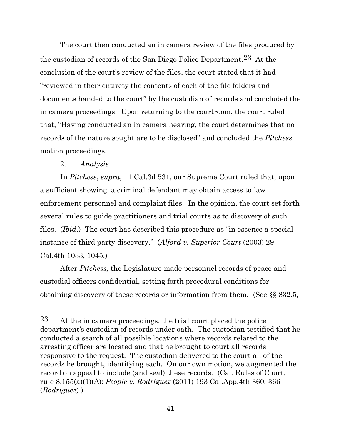The court then conducted an in camera review of the files produced by the custodian of records of the San Diego Police Department.23 At the conclusion of the court's review of the files, the court stated that it had "reviewed in their entirety the contents of each of the file folders and documents handed to the court" by the custodian of records and concluded the in camera proceedings. Upon returning to the courtroom, the court ruled that, "Having conducted an in camera hearing, the court determines that no records of the nature sought are to be disclosed" and concluded the *Pitchess* motion proceedings.

#### 2. *Analysis*

In *Pitchess*, *supra*, 11 Cal.3d 531, our Supreme Court ruled that, upon a sufficient showing, a criminal defendant may obtain access to law enforcement personnel and complaint files. In the opinion, the court set forth several rules to guide practitioners and trial courts as to discovery of such files. (*Ibid*.) The court has described this procedure as "in essence a special instance of third party discovery." (*Alford v. Superior Court* (2003) 29 Cal.4th 1033, 1045.)

After *Pitchess,* the Legislature made personnel records of peace and custodial officers confidential, setting forth procedural conditions for obtaining discovery of these records or information from them. (See §§ 832.5,

<sup>23</sup> At the in camera proceedings, the trial court placed the police department's custodian of records under oath. The custodian testified that he conducted a search of all possible locations where records related to the arresting officer are located and that he brought to court all records responsive to the request. The custodian delivered to the court all of the records he brought, identifying each. On our own motion, we augmented the record on appeal to include (and seal) these records. (Cal. Rules of Court, rule 8.155(a)(1)(A); *People v. Rodriguez* (2011) 193 Cal.App.4th 360, 366 (*Rodriguez*).)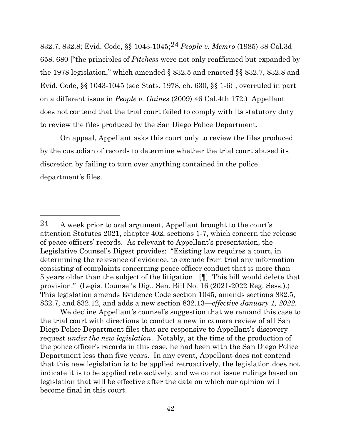832.7, 832.8; Evid. Code, §§ 1043-1045;24 *People v. Memro* (1985) 38 Cal.3d 658, 680 ["the principles of *Pitchess* were not only reaffirmed but expanded by the 1978 legislation," which amended § 832.5 and enacted §§ 832.7, 832.8 and Evid. Code, §§ 1043-1045 (see Stats. 1978, ch. 630, §§ 1-6)], overruled in part on a different issue in *People v. Gaines* (2009) 46 Cal.4th 172.) Appellant does not contend that the trial court failed to comply with its statutory duty to review the files produced by the San Diego Police Department.

On appeal, Appellant asks this court only to review the files produced by the custodian of records to determine whether the trial court abused its discretion by failing to turn over anything contained in the police department's files.

We decline Appellant's counsel's suggestion that we remand this case to the trial court with directions to conduct a new in camera review of all San Diego Police Department files that are responsive to Appellant's discovery request *under the new legislation*. Notably, at the time of the production of the police officer's records in this case, he had been with the San Diego Police Department less than five years. In any event, Appellant does not contend that this new legislation is to be applied retroactively, the legislation does not indicate it is to be applied retroactively, and we do not issue rulings based on legislation that will be effective after the date on which our opinion will become final in this court.

 $24$  A week prior to oral argument, Appellant brought to the court's attention Statutes 2021, chapter 402, sections 1-7, which concern the release of peace officers' records. As relevant to Appellant's presentation, the Legislative Counsel's Digest provides: "Existing law requires a court, in determining the relevance of evidence, to exclude from trial any information consisting of complaints concerning peace officer conduct that is more than 5 years older than the subject of the litigation. [¶] This bill would delete that provision." (Legis. Counsel's Dig., Sen. Bill No. 16 (2021-2022 Reg. Sess.).) This legislation amends Evidence Code section 1045, amends sections 832.5, 832.7, and 832.12, and adds a new section 832.13—*effective January 1, 2022*.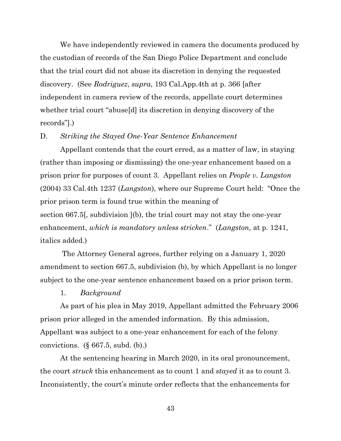We have independently reviewed in camera the documents produced by the custodian of records of the San Diego Police Department and conclude that the trial court did not abuse its discretion in denying the requested discovery. (See *Rodriguez*, *supra*, 193 Cal.App.4th at p. 366 [after independent in camera review of the records, appellate court determines whether trial court "abuse[d] its discretion in denying discovery of the records"].)

#### D. *Striking the Stayed One-Year Sentence Enhancement*

Appellant contends that the court erred, as a matter of law, in staying (rather than imposing or dismissing) the one-year enhancement based on a prison prior for purposes of count 3. Appellant relies on *People v. Langston* (2004) 33 Cal.4th 1237 (*Langston*), where our Supreme Court held: "Once the prior prison term is found true within the meaning of section 667.5[, subdivision ](b), the trial court may not stay the one-year enhancement, *which is mandatory unless stricken*." (*Langston,* at p. 1241, italics added.)

The Attorney General agrees, further relying on a January 1, 2020 amendment to section 667.5, subdivision (b), by which Appellant is no longer subject to the one-year sentence enhancement based on a prior prison term.

#### 1. *Background*

As part of his plea in May 2019, Appellant admitted the February 2006 prison prior alleged in the amended information. By this admission, Appellant was subject to a one-year enhancement for each of the felony convictions.  $(\S 667.5, \text{subd. (b)})$ 

At the sentencing hearing in March 2020, in its oral pronouncement, the court *struck* this enhancement as to count 1 and *stayed* it as to count 3. Inconsistently, the court's minute order reflects that the enhancements for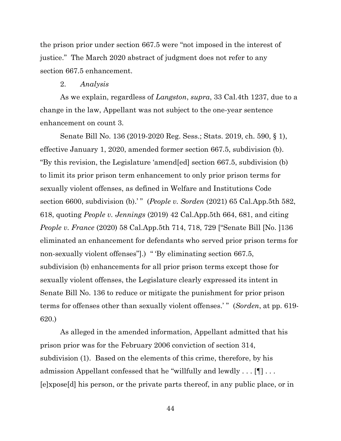the prison prior under section 667.5 were "not imposed in the interest of justice." The March 2020 abstract of judgment does not refer to any section 667.5 enhancement.

#### 2. *Analysis*

As we explain, regardless of *Langston*, *supra*, 33 Cal.4th 1237, due to a change in the law, Appellant was not subject to the one-year sentence enhancement on count 3.

Senate Bill No. 136 (2019-2020 Reg. Sess.; Stats. 2019, ch. 590, § 1), effective January 1, 2020, amended former section 667.5, subdivision (b). "By this revision, the Legislature 'amend[ed] section 667.5, subdivision (b) to limit its prior prison term enhancement to only prior prison terms for sexually violent offenses, as defined in Welfare and Institutions Code section 6600, subdivision (b).'" (*People v. Sorden* (2021) 65 Cal.App.5th 582, 618, quoting *People v. Jennings* (2019) 42 Cal.App.5th 664, 681, and citing *People v. France* (2020) 58 Cal.App.5th 714, 718, 729 ["Senate Bill [No. ]136 eliminated an enhancement for defendants who served prior prison terms for non-sexually violent offenses".) " 'By eliminating section 667.5, subdivision (b) enhancements for all prior prison terms except those for sexually violent offenses, the Legislature clearly expressed its intent in Senate Bill No. 136 to reduce or mitigate the punishment for prior prison terms for offenses other than sexually violent offenses.' " (*Sorden*, at pp. 619- 620.)

As alleged in the amended information, Appellant admitted that his prison prior was for the February 2006 conviction of section 314, subdivision (1). Based on the elements of this crime, therefore, by his admission Appellant confessed that he "willfully and lewdly . . .  $[\P]$  . . . [e]xpose[d] his person, or the private parts thereof, in any public place, or in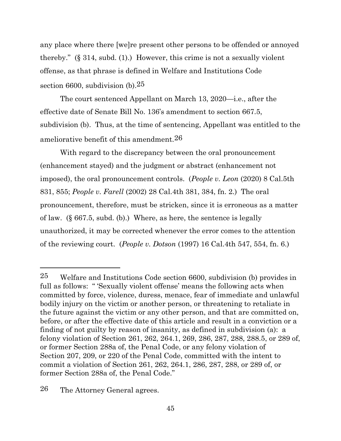any place where there [we]re present other persons to be offended or annoyed thereby." (§ 314, subd. (1).) However, this crime is not a sexually violent offense, as that phrase is defined in Welfare and Institutions Code section 6600, subdivision  $(b)$ .<sup>25</sup>

The court sentenced Appellant on March 13, 2020—i.e., after the effective date of Senate Bill No. 136's amendment to section 667.5, subdivision (b). Thus, at the time of sentencing, Appellant was entitled to the ameliorative benefit of this amendment.26

With regard to the discrepancy between the oral pronouncement (enhancement stayed) and the judgment or abstract (enhancement not imposed), the oral pronouncement controls. (*People v. Leon* (2020) 8 Cal.5th 831, 855; *People v. Farell* (2002) 28 Cal.4th 381, 384, fn. 2.) The oral pronouncement, therefore, must be stricken, since it is erroneous as a matter of law. (§ 667.5, subd. (b).) Where, as here, the sentence is legally unauthorized, it may be corrected whenever the error comes to the attention of the reviewing court. (*People v. Dotson* (1997) 16 Cal.4th 547, 554, fn. 6.)

26 The Attorney General agrees.

<sup>25</sup> Welfare and Institutions Code section 6600, subdivision (b) provides in full as follows: " 'Sexually violent offense' means the following acts when committed by force, violence, duress, menace, fear of immediate and unlawful bodily injury on the victim or another person, or threatening to retaliate in the future against the victim or any other person, and that are committed on, before, or after the effective date of this article and result in a conviction or a finding of not guilty by reason of insanity, as defined in subdivision (a): a felony violation of Section 261, 262, 264.1, 269, 286, 287, 288, 288.5, or 289 of, or former Section 288a of, the Penal Code, or any felony violation of Section 207, 209, or 220 of the Penal Code, committed with the intent to commit a violation of Section 261, 262, 264.1, 286, 287, 288, or 289 of, or former Section 288a of, the Penal Code."